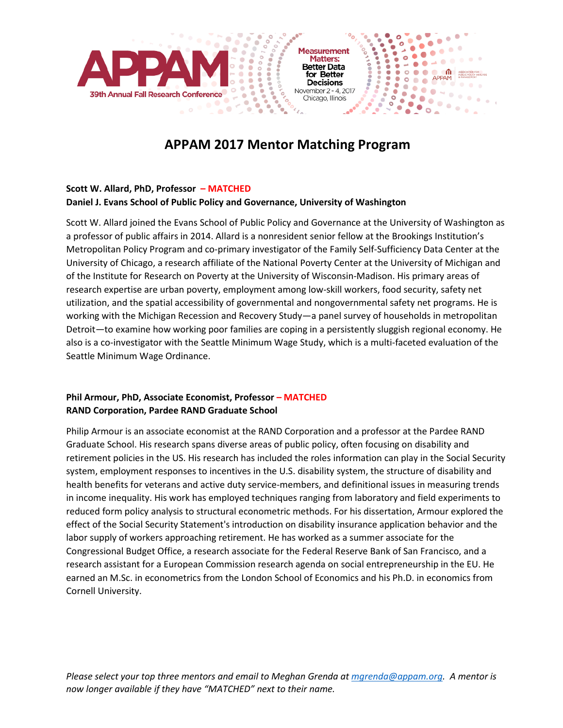

Chicago, Illinois

 $\bullet$ 

°.  $\circ$ 

 $\bullet$ 

 $\bullet$ 

 $\circ$   $\overline{\bullet}$ 

۰

 $\blacksquare$ 

ASSOCIATION P

 $\bullet$ 

 $12.70 - 0.0$ 

**Processing** 

### **APPAM 2017 Mentor Matching Program**

#### **Scott W. Allard, PhD, Professor – MATCHED**

#### **Daniel J. Evans School of Public Policy and Governance, University of Washington**

۰

Scott W. Allard joined the Evans School of Public Policy and Governance at the University of Washington as a professor of public affairs in 2014. Allard is a nonresident senior fellow at the Brookings Institution's Metropolitan Policy Program and co-primary investigator of the Family Self-Sufficiency Data Center at the University of Chicago, a research affiliate of the National Poverty Center at the University of Michigan and of the Institute for Research on Poverty at the University of Wisconsin-Madison. His primary areas of research expertise are urban poverty, employment among low-skill workers, food security, safety net utilization, and the spatial accessibility of governmental and nongovernmental safety net programs. He is working with the Michigan Recession and Recovery Study—a panel survey of households in metropolitan Detroit—to examine how working poor families are coping in a persistently sluggish regional economy. He also is a co-investigator with the Seattle Minimum Wage Study, which is a multi-faceted evaluation of the Seattle Minimum Wage Ordinance.

#### **Phil Armour, PhD, Associate Economist, Professor – MATCHED RAND Corporation, Pardee RAND Graduate School**

Philip Armour is an associate economist at the RAND Corporation and a professor at the Pardee RAND Graduate School. His research spans diverse areas of public policy, often focusing on disability and retirement policies in the US. His research has included the roles information can play in the Social Security system, employment responses to incentives in the U.S. disability system, the structure of disability and health benefits for veterans and active duty service-members, and definitional issues in measuring trends in income inequality. His work has employed techniques ranging from laboratory and field experiments to reduced form policy analysis to structural econometric methods. For his dissertation, Armour explored the effect of the Social Security Statement's introduction on disability insurance application behavior and the labor supply of workers approaching retirement. He has worked as a summer associate for the Congressional Budget Office, a research associate for the Federal Reserve Bank of San Francisco, and a research assistant for a European Commission research agenda on social entrepreneurship in the EU. He earned an M.Sc. in econometrics from the London School of Economics and his Ph.D. in economics from Cornell University.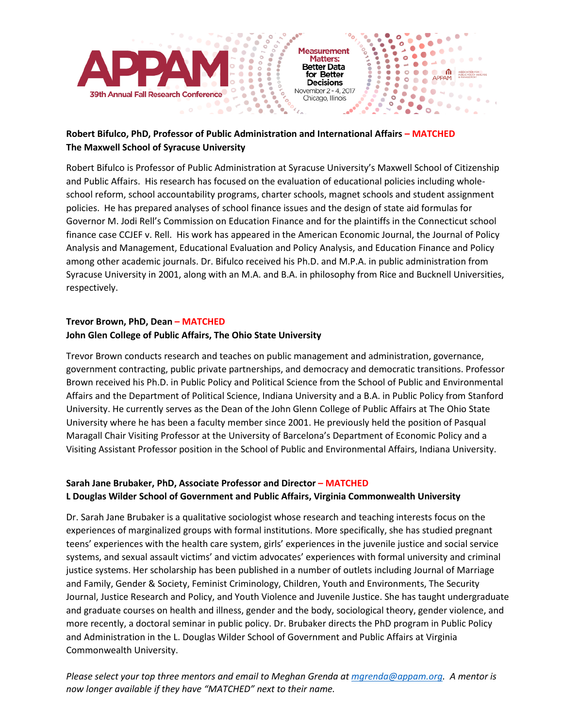

#### **Robert Bifulco, PhD, Professor of Public Administration and International Affairs – MATCHED The Maxwell School of Syracuse University**

Robert Bifulco is Professor of Public Administration at Syracuse University's Maxwell School of Citizenship and Public Affairs. His research has focused on the evaluation of educational policies including wholeschool reform, school accountability programs, charter schools, magnet schools and student assignment policies. He has prepared analyses of school finance issues and the design of state aid formulas for Governor M. Jodi Rell's Commission on Education Finance and for the plaintiffs in the Connecticut school finance case CCJEF v. Rell. His work has appeared in the American Economic Journal, the Journal of Policy Analysis and Management, Educational Evaluation and Policy Analysis, and Education Finance and Policy among other academic journals. Dr. Bifulco received his Ph.D. and M.P.A. in public administration from Syracuse University in 2001, along with an M.A. and B.A. in philosophy from Rice and Bucknell Universities, respectively.

#### **Trevor Brown, PhD, Dean – MATCHED**

#### **John Glen College of Public Affairs, The Ohio State University**

Trevor Brown conducts research and teaches on public management and administration, governance, government contracting, public private partnerships, and democracy and democratic transitions. Professor Brown received his Ph.D. in Public Policy and Political Science from the School of Public and Environmental Affairs and the Department of Political Science, Indiana University and a B.A. in Public Policy from Stanford University. He currently serves as the Dean of the John Glenn College of Public Affairs at The Ohio State University where he has been a faculty member since 2001. He previously held the position of Pasqual Maragall Chair Visiting Professor at the University of Barcelona's Department of Economic Policy and a Visiting Assistant Professor position in the School of Public and Environmental Affairs, Indiana University.

#### **Sarah Jane Brubaker, PhD, Associate Professor and Director – MATCHED L Douglas Wilder School of Government and Public Affairs, Virginia Commonwealth University**

Dr. Sarah Jane Brubaker is a qualitative sociologist whose research and teaching interests focus on the experiences of marginalized groups with formal institutions. More specifically, she has studied pregnant teens' experiences with the health care system, girls' experiences in the juvenile justice and social service systems, and sexual assault victims' and victim advocates' experiences with formal university and criminal justice systems. Her scholarship has been published in a number of outlets including Journal of Marriage and Family, Gender & Society, Feminist Criminology, Children, Youth and Environments, The Security Journal, Justice Research and Policy, and Youth Violence and Juvenile Justice. She has taught undergraduate and graduate courses on health and illness, gender and the body, sociological theory, gender violence, and more recently, a doctoral seminar in public policy. Dr. Brubaker directs the PhD program in Public Policy and Administration in the L. Douglas Wilder School of Government and Public Affairs at Virginia Commonwealth University.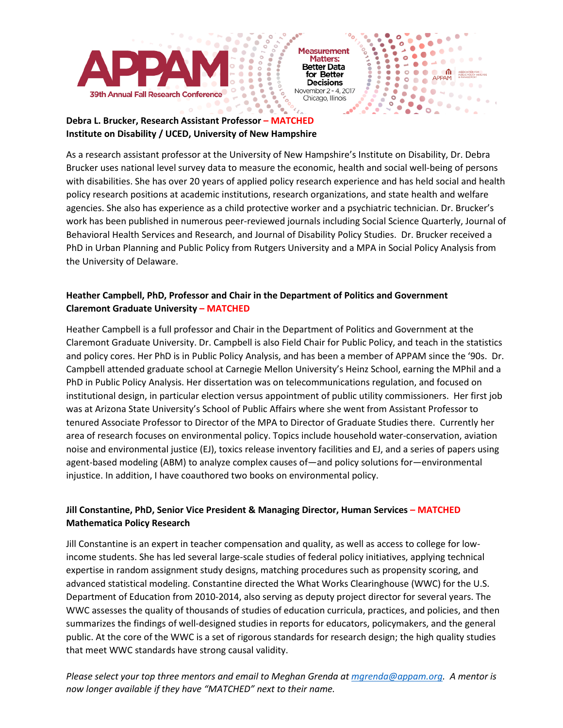

 $\bullet$ 

 $\ddot{\phantom{0}}$ 

 $\circ$ 

 $\ddot{\phantom{0}}$  $\bullet$ 

 $\bullet$ 

٠

÷

÷

 $\bullet$ 

 $\ddot{\cdot}$  $\bullet$ 

۰

ASSOCIATION P

 $-00 - 00$ 

**Septim** 

 $\circ$   $\overline{\bullet}$ 

 $\bullet$ 

٠

APPAM

33

### **Institute on Disability / UCED, University of New Hampshire**

As a research assistant professor at the University of New Hampshire's Institute on Disability, Dr. Debra Brucker uses national level survey data to measure the economic, health and social well-being of persons with disabilities. She has over 20 years of applied policy research experience and has held social and health policy research positions at academic institutions, research organizations, and state health and welfare agencies. She also has experience as a child protective worker and a psychiatric technician. Dr. Brucker's work has been published in numerous peer-reviewed journals including Social Science Quarterly, Journal of Behavioral Health Services and Research, and Journal of Disability Policy Studies. Dr. Brucker received a PhD in Urban Planning and Public Policy from Rutgers University and a MPA in Social Policy Analysis from the University of Delaware.

#### **Heather Campbell, PhD, Professor and Chair in the Department of Politics and Government Claremont Graduate University – MATCHED**

۰

 $\ddot{\bullet}$ 

 $\bullet$ 

ö

Heather Campbell is a full professor and Chair in the Department of Politics and Government at the Claremont Graduate University. Dr. Campbell is also Field Chair for Public Policy, and teach in the statistics and policy cores. Her PhD is in Public Policy Analysis, and has been a member of APPAM since the '90s. Dr. Campbell attended graduate school at Carnegie Mellon University's Heinz School, earning the MPhil and a PhD in Public Policy Analysis. Her dissertation was on telecommunications regulation, and focused on institutional design, in particular election versus appointment of public utility commissioners. Her first job was at Arizona State University's School of Public Affairs where she went from Assistant Professor to tenured Associate Professor to Director of the MPA to Director of Graduate Studies there. Currently her area of research focuses on environmental policy. Topics include household water-conservation, aviation noise and environmental justice (EJ), toxics release inventory facilities and EJ, and a series of papers using agent-based modeling (ABM) to analyze complex causes of—and policy solutions for—environmental injustice. In addition, I have coauthored two books on environmental policy.

#### **Jill Constantine, PhD, Senior Vice President & Managing Director, Human Services – MATCHED Mathematica Policy Research**

Jill Constantine is an expert in teacher compensation and quality, as well as access to college for lowincome students. She has led several large-scale studies of federal policy initiatives, applying technical expertise in random assignment study designs, matching procedures such as propensity scoring, and advanced statistical modeling. Constantine directed the What Works Clearinghouse (WWC) for the U.S. Department of Education from 2010-2014, also serving as deputy project director for several years. The WWC assesses the quality of thousands of studies of education curricula, practices, and policies, and then summarizes the findings of well-designed studies in reports for educators, policymakers, and the general public. At the core of the WWC is a set of rigorous standards for research design; the high quality studies that meet WWC standards have strong causal validity.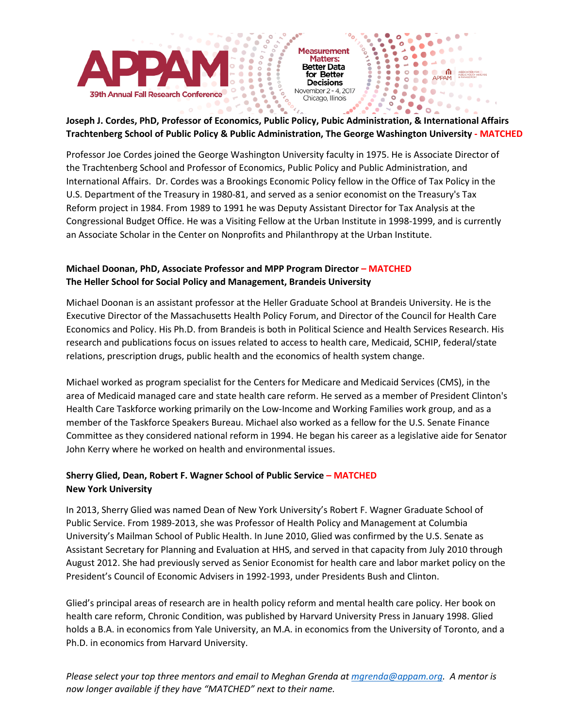

 $\bullet$ 

 $\circ$ 

 $\bullet$ 

 $\ddot{\phantom{0}}$  $\circ$ 

 $\bullet$ 

 $\ddot{\cdot}$  $\bullet$ 

> $\qquad \qquad \bullet$ ٠

 $\begin{array}{c} \bullet \\ \bullet \end{array}$ 

۰

۰

 $22.0000$ 

**PRODUCT** 

**110000** 

 $\bullet$ 

 $\bullet$ 

# Joseph J. Cordes, PhD, Professor of Economics, Public Policy, Public Administration, & International Affairs **Trachtenberg School of Public Policy & Public Administration, The George Washington University - MATCHED**

 $\begin{array}{c} \bullet\bullet\bullet\bullet\bullet\bullet\bullet'\circ\circ\\ \bullet\bullet\bullet\bullet\bullet\bullet\circ\circ\\ \circ\circ\bullet\bullet\bullet\bullet\bullet\circ\circ\\ \end{array}$ 

۵

 $\ddot{\phantom{0}}$ 

۰

Professor Joe Cordes joined the George Washington University faculty in 1975. He is Associate Director of the Trachtenberg School and Professor of Economics, Public Policy and Public Administration, and International Affairs. Dr. Cordes was a Brookings Economic Policy fellow in the Office of Tax Policy in the U.S. Department of the Treasury in 1980-81, and served as a senior economist on the Treasury's Tax Reform project in 1984. From 1989 to 1991 he was Deputy Assistant Director for Tax Analysis at the Congressional Budget Office. He was a Visiting Fellow at the Urban Institute in 1998-1999, and is currently an Associate Scholar in the Center on Nonprofits and Philanthropy at the Urban Institute.

#### **Michael Doonan, PhD, Associate Professor and MPP Program Director – MATCHED The Heller School for Social Policy and Management, Brandeis University**

Michael Doonan is an assistant professor at the Heller Graduate School at Brandeis University. He is the Executive Director of the Massachusetts Health Policy Forum, and Director of the Council for Health Care Economics and Policy. His Ph.D. from Brandeis is both in Political Science and Health Services Research. His research and publications focus on issues related to access to health care, Medicaid, SCHIP, federal/state relations, prescription drugs, public health and the economics of health system change.

Michael worked as program specialist for the Centers for Medicare and Medicaid Services (CMS), in the area of Medicaid managed care and state health care reform. He served as a member of President Clinton's Health Care Taskforce working primarily on the Low-Income and Working Families work group, and as a member of the Taskforce Speakers Bureau. Michael also worked as a fellow for the U.S. Senate Finance Committee as they considered national reform in 1994. He began his career as a legislative aide for Senator John Kerry where he worked on health and environmental issues.

#### **Sherry Glied, Dean, Robert F. Wagner School of Public Service – MATCHED New York University**

In 2013, Sherry Glied was named Dean of New York University's Robert F. Wagner Graduate School of Public Service. From 1989-2013, she was Professor of Health Policy and Management at Columbia University's Mailman School of Public Health. In June 2010, Glied was confirmed by the U.S. Senate as Assistant Secretary for Planning and Evaluation at HHS, and served in that capacity from July 2010 through August 2012. She had previously served as Senior Economist for health care and labor market policy on the President's Council of Economic Advisers in 1992-1993, under Presidents Bush and Clinton.

Glied's principal areas of research are in health policy reform and mental health care policy. Her book on health care reform, Chronic Condition, was published by Harvard University Press in January 1998. Glied holds a B.A. in economics from Yale University, an M.A. in economics from the University of Toronto, and a Ph.D. in economics from Harvard University.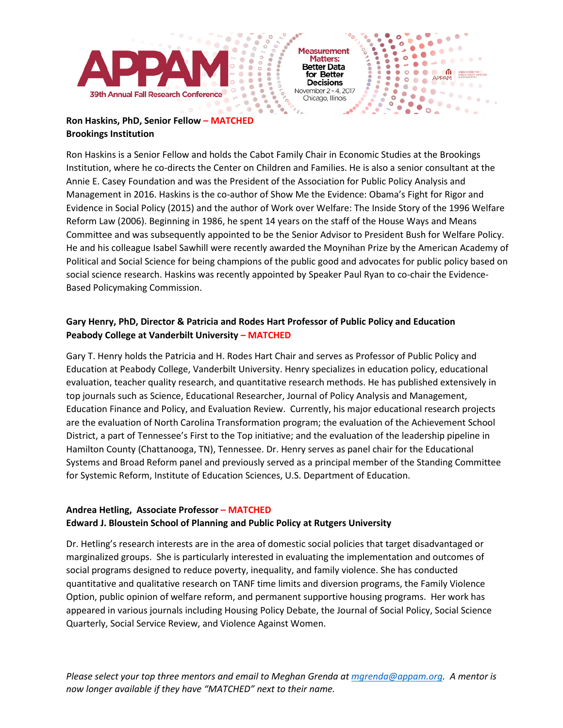

Chicago, Illinois

 $\frac{1}{2}$ 

۰

 $\ddot{\bullet}$ 

 $\bullet$ 

ö

 $\bullet$ 

°.  $\circ$ 

 $\bullet$ 

٠

۰

 $\bullet$ 

ASSOCIATION<br>PUBLIC POLIC

 $\blacksquare$ 

 $\bullet$  $\bullet$ 

 $-0.0 - 0.0$ 

#### **Ron Haskins, PhD, Senior Fellow – MATCHED Brookings Institution**

Ron Haskins is a Senior Fellow and holds the Cabot Family Chair in Economic Studies at the Brookings Institution, where he co-directs the Center on Children and Families. He is also a senior consultant at the Annie E. Casey Foundation and was the President of the Association for Public Policy Analysis and Management in 2016. Haskins is the co-author of Show Me the Evidence: Obama's Fight for Rigor and Evidence in Social Policy (2015) and the author of Work over Welfare: The Inside Story of the 1996 Welfare Reform Law (2006). Beginning in 1986, he spent 14 years on the staff of the House Ways and Means Committee and was subsequently appointed to be the Senior Advisor to President Bush for Welfare Policy. He and his colleague Isabel Sawhill were recently awarded the Moynihan Prize by the American Academy of Political and Social Science for being champions of the public good and advocates for public policy based on social science research. Haskins was recently appointed by Speaker Paul Ryan to co-chair the Evidence-Based Policymaking Commission.

#### **Gary Henry, PhD, Director & Patricia and Rodes Hart Professor of Public Policy and Education Peabody College at Vanderbilt University – MATCHED**

Gary T. Henry holds the Patricia and H. Rodes Hart Chair and serves as Professor of Public Policy and Education at Peabody College, Vanderbilt University. Henry specializes in education policy, educational evaluation, teacher quality research, and quantitative research methods. He has published extensively in top journals such as Science, Educational Researcher, Journal of Policy Analysis and Management, Education Finance and Policy, and Evaluation Review. Currently, his major educational research projects are the evaluation of North Carolina Transformation program; the evaluation of the Achievement School District, a part of Tennessee's First to the Top initiative; and the evaluation of the leadership pipeline in Hamilton County (Chattanooga, TN), Tennessee. Dr. Henry serves as panel chair for the Educational Systems and Broad Reform panel and previously served as a principal member of the Standing Committee for Systemic Reform, Institute of Education Sciences, U.S. Department of Education.

#### **Andrea Hetling, Associate Professor – MATCHED**

#### **Edward J. Bloustein School of Planning and Public Policy at Rutgers University**

Dr. Hetling's research interests are in the area of domestic social policies that target disadvantaged or marginalized groups. She is particularly interested in evaluating the implementation and outcomes of social programs designed to reduce poverty, inequality, and family violence. She has conducted quantitative and qualitative research on TANF time limits and diversion programs, the Family Violence Option, public opinion of welfare reform, and permanent supportive housing programs. Her work has appeared in various journals including Housing Policy Debate, the Journal of Social Policy, Social Science Quarterly, Social Service Review, and Violence Against Women.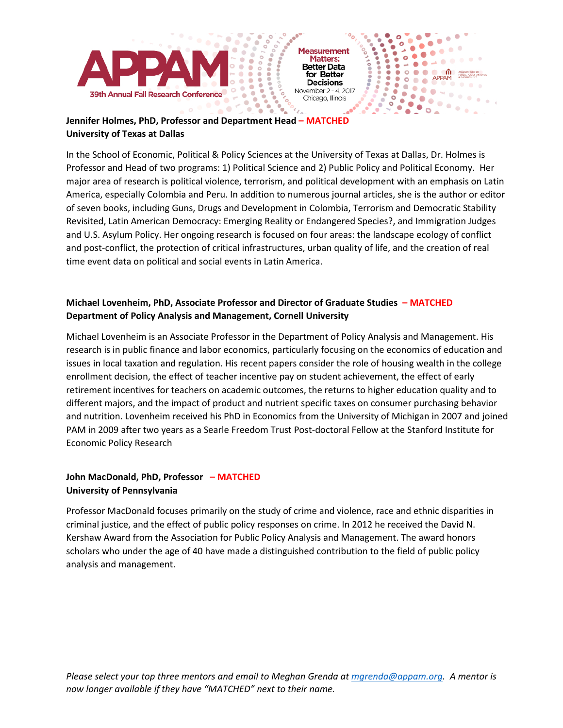

 $\bullet$ 

°.  $\circ$ 

 $\bullet$ 

٠

٠

 $\bullet$ ۰

 $-0.0 - 0.0$ 

 $\bullet$ 

ाति

۰

 $\bullet$ 

 $\bullet\circ\bullet\bullet\bullet$ 

**O O O APPAM** 

 $200$ 

ö

 $\bullet$ 

→  $\frac{1}{2}$ 

95

### **University of Texas at Dallas**

In the School of Economic, Political & Policy Sciences at the University of Texas at Dallas, Dr. Holmes is Professor and Head of two programs: 1) Political Science and 2) Public Policy and Political Economy. Her major area of research is political violence, terrorism, and political development with an emphasis on Latin America, especially Colombia and Peru. In addition to numerous journal articles, she is the author or editor of seven books, including Guns, Drugs and Development in Colombia, Terrorism and Democratic Stability Revisited, Latin American Democracy: Emerging Reality or Endangered Species?, and Immigration Judges and U.S. Asylum Policy. Her ongoing research is focused on four areas: the landscape ecology of conflict and post-conflict, the protection of critical infrastructures, urban quality of life, and the creation of real time event data on political and social events in Latin America.

 $\frac{1}{2}$ 

۰

 $10000007$ 

ö

 $\bullet$ 

#### **Michael Lovenheim, PhD, Associate Professor and Director of Graduate Studies – MATCHED Department of Policy Analysis and Management, Cornell University**

Michael Lovenheim is an Associate Professor in the Department of Policy Analysis and Management. His research is in public finance and labor economics, particularly focusing on the economics of education and issues in local taxation and regulation. His recent papers consider the role of housing wealth in the college enrollment decision, the effect of teacher incentive pay on student achievement, the effect of early retirement incentives for teachers on academic outcomes, the returns to higher education quality and to different majors, and the impact of product and nutrient specific taxes on consumer purchasing behavior and nutrition. Lovenheim received his PhD in Economics from the University of Michigan in 2007 and joined PAM in 2009 after two years as a Searle Freedom Trust Post-doctoral Fellow at the Stanford Institute for Economic Policy Research

#### **John MacDonald, PhD, Professor – MATCHED University of Pennsylvania**

Professor MacDonald focuses primarily on the study of crime and violence, race and ethnic disparities in criminal justice, and the effect of public policy responses on crime. In 2012 he received the David N. Kershaw Award from the Association for Public Policy Analysis and Management. The award honors scholars who under the age of 40 have made a distinguished contribution to the field of public policy analysis and management.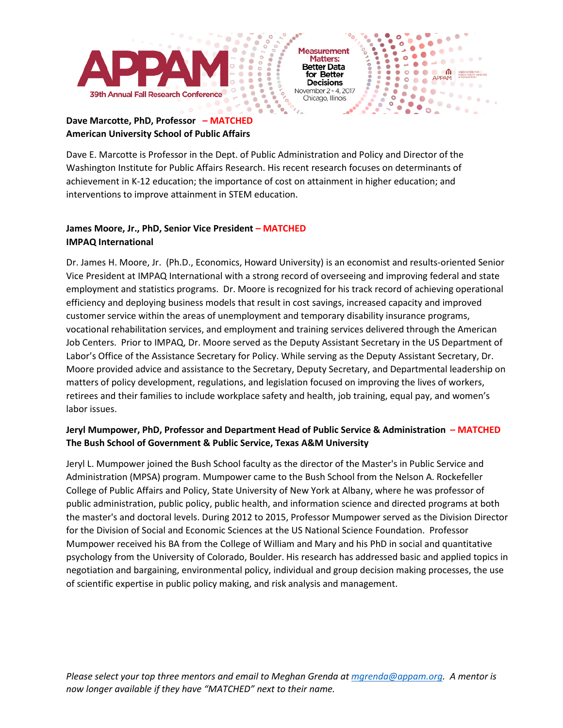

Chicago, Illinois

 $\bullet$ 

 $\ddot{\phantom{0}}$ 

 $\circ$ 

°.  $\circ$ 

 $\bullet$ 

٠

٠

÷

 $\bullet$ 

۸  $\frac{1}{2}$  ۰

 $\bullet$ ۰

 $\bullet$ 

 $\blacksquare$ 

ASSOCIATION<br>PUBLIC POLIC

 $\bullet$ 

 $-0.0 - 0.0$ 

**See 20** 

 $\circ$   $\overline{\bullet}$ 

APPAM

33

 $\bullet$  $\bullet$ 

#### **Dave Marcotte, PhD, Professor – MATCHED American University School of Public Affairs**

Dave E. Marcotte is Professor in the Dept. of Public Administration and Policy and Director of the Washington Institute for Public Affairs Research. His recent research focuses on determinants of achievement in K-12 education; the importance of cost on attainment in higher education; and interventions to improve attainment in STEM education.

 $\frac{1}{2}$ 

۰

 $\ddot{\phantom{0}}$ 

 $\bullet$ 

 $\bullet$ 

ö

#### **James Moore, Jr., PhD, Senior Vice President – MATCHED IMPAQ International**

Dr. James H. Moore, Jr. (Ph.D., Economics, Howard University) is an economist and results-oriented Senior Vice President at IMPAQ International with a strong record of overseeing and improving federal and state employment and statistics programs. Dr. Moore is recognized for his track record of achieving operational efficiency and deploying business models that result in cost savings, increased capacity and improved customer service within the areas of unemployment and temporary disability insurance programs, vocational rehabilitation services, and employment and training services delivered through the American Job Centers. Prior to IMPAQ, Dr. Moore served as the Deputy Assistant Secretary in the US Department of Labor's Office of the Assistance Secretary for Policy. While serving as the Deputy Assistant Secretary, Dr. Moore provided advice and assistance to the Secretary, Deputy Secretary, and Departmental leadership on matters of policy development, regulations, and legislation focused on improving the lives of workers, retirees and their families to include workplace safety and health, job training, equal pay, and women's labor issues.

#### **Jeryl Mumpower, PhD, Professor and Department Head of Public Service & Administration – MATCHED The Bush School of Government & Public Service, Texas A&M University**

Jeryl L. Mumpower joined the Bush School faculty as the director of the Master's in Public Service and Administration (MPSA) program. Mumpower came to the Bush School from the Nelson A. Rockefeller College of Public Affairs and Policy, State University of New York at Albany, where he was professor of public administration, public policy, public health, and information science and directed programs at both the master's and doctoral levels. During 2012 to 2015, Professor Mumpower served as the Division Director for the Division of Social and Economic Sciences at the US National Science Foundation. Professor Mumpower received his BA from the College of William and Mary and his PhD in social and quantitative psychology from the University of Colorado, Boulder. His research has addressed basic and applied topics in negotiation and bargaining, environmental policy, individual and group decision making processes, the use of scientific expertise in public policy making, and risk analysis and management.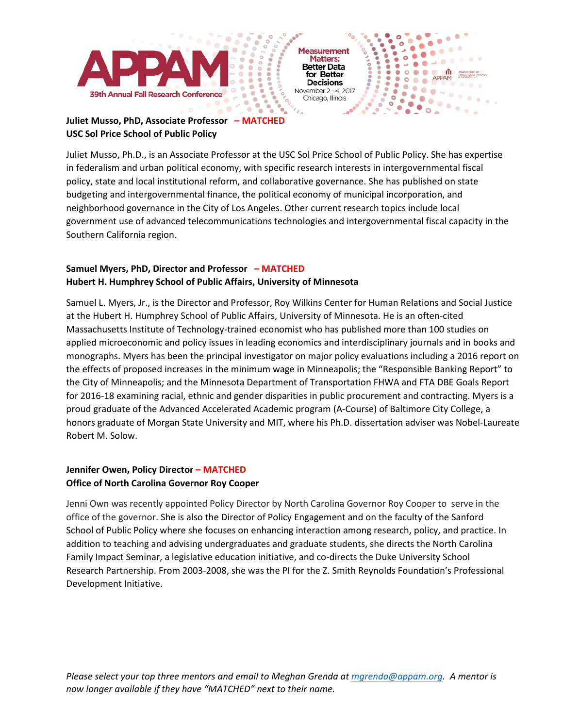

Chicago, Illinois

 $\bullet$ 

°.  $\circ$ 

 $\bullet$ 

 $\bullet$ 

۰

٠

ASSOCIATION P

 $\bullet$  $\bullet$ 

 $12.70 - 0.0$ 

APPAM

## **USC Sol Price School of Public Policy**

Juliet Musso, Ph.D., is an Associate Professor at the USC Sol Price School of Public Policy. She has expertise in federalism and urban political economy, with specific research interests in intergovernmental fiscal policy, state and local institutional reform, and collaborative governance. She has published on state budgeting and intergovernmental finance, the political economy of municipal incorporation, and neighborhood governance in the City of Los Angeles. Other current research topics include local government use of advanced telecommunications technologies and intergovernmental fiscal capacity in the Southern California region.

۰

 $\ddot{\phantom{0}}$  $\bullet$ 

۰

٠

۵

 $\bullet$ 

ö

 $\bullet$ 

#### **Samuel Myers, PhD, Director and Professor – MATCHED Hubert H. Humphrey School of Public Affairs, University of Minnesota**

Samuel L. Myers, Jr., is the Director and Professor, Roy Wilkins Center for Human Relations and Social Justice at the Hubert H. Humphrey School of Public Affairs, University of Minnesota. He is an often-cited Massachusetts Institute of Technology-trained economist who has published more than 100 studies on applied microeconomic and policy issues in leading economics and interdisciplinary journals and in books and monographs. Myers has been the principal investigator on major policy evaluations including a 2016 report on the effects of proposed increases in the minimum wage in Minneapolis; the "Responsible Banking Report" to the City of Minneapolis; and the Minnesota Department of Transportation FHWA and FTA DBE Goals Report for 2016-18 examining racial, ethnic and gender disparities in public procurement and contracting. Myers is a proud graduate of the Advanced Accelerated Academic program (A-Course) of Baltimore City College, a honors graduate of Morgan State University and MIT, where his Ph.D. dissertation adviser was Nobel-Laureate Robert M. Solow.

#### **Jennifer Owen, Policy Director – MATCHED Office of North Carolina Governor Roy Cooper**

Jenni Own was recently appointed Policy Director by North Carolina Governor Roy Cooper to serve in the office of the governor. She is also the Director of Policy Engagement and on the faculty of the Sanford School of Public Policy where she focuses on enhancing interaction among research, policy, and practice. In addition to teaching and advising undergraduates and graduate students, she directs the North Carolina Family Impact Seminar, a legislative education initiative, and co-directs the Duke University School Research Partnership. From 2003-2008, she was the PI for the Z. Smith Reynolds Foundation's Professional Development Initiative.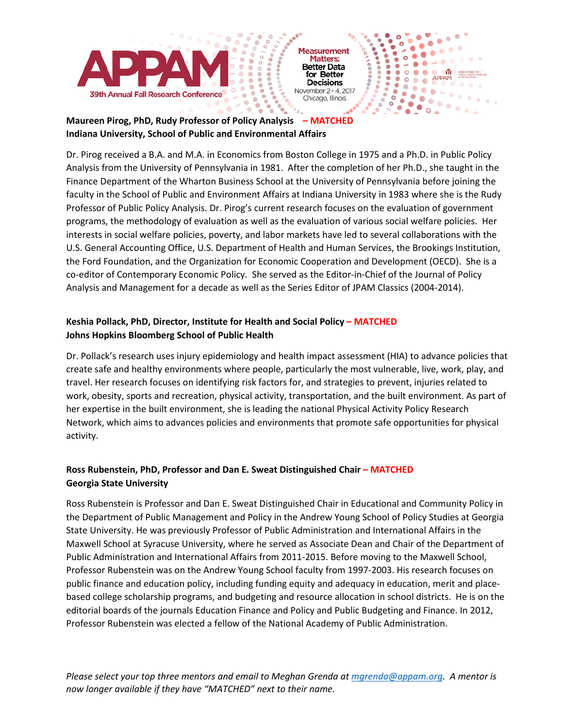

 $\bullet$ 

 $\ddot{\phantom{0}}$ 

°.  $\circ$ 

 $\bullet$ 

٠

۰

 $\bullet$ 

 $\overline{\circ}$ 

Йŏ.

۰

95  $\circ$ 

۰

 $\bullet$ 

 $\bullet$ 

٠

۰

ASSOCIATION F<br>PUBLIC POLICY

 $\bullet$  $\bullet$ 

 $-0.0 - 0.0$ 

**See 20** 

 $\circ$   $\overline{\bullet}$ 

APPAM

 $\bullet$ 

**Proposition** 

## **Indiana University, School of Public and Environmental Affairs**

Dr. Pirog received a B.A. and M.A. in Economics from Boston College in 1975 and a Ph.D. in Public Policy Analysis from the University of Pennsylvania in 1981. After the completion of her Ph.D., she taught in the Finance Department of the Wharton Business School at the University of Pennsylvania before joining the faculty in the School of Public and Environment Affairs at Indiana University in 1983 where she is the Rudy Professor of Public Policy Analysis. Dr. Pirog's current research focuses on the evaluation of government programs, the methodology of evaluation as well as the evaluation of various social welfare policies. Her interests in social welfare policies, poverty, and labor markets have led to several collaborations with the U.S. General Accounting Office, U.S. Department of Health and Human Services, the Brookings Institution, the Ford Foundation, and the Organization for Economic Cooperation and Development (OECD). She is a co-editor of Contemporary Economic Policy. She served as the Editor-in-Chief of the Journal of Policy Analysis and Management for a decade as well as the Series Editor of JPAM Classics (2004-2014).

 $\frac{1}{2}$ 

۰

 $\ddot{\bullet}$ 

ö

۵

 $\bullet$ 

#### **Keshia Pollack, PhD, Director, Institute for Health and Social Policy – MATCHED Johns Hopkins Bloomberg School of Public Health**

Dr. Pollack's research uses injury epidemiology and health impact assessment (HIA) to advance policies that create safe and healthy environments where people, particularly the most vulnerable, live, work, play, and travel. Her research focuses on identifying risk factors for, and strategies to prevent, injuries related to work, obesity, sports and recreation, physical activity, transportation, and the built environment. As part of her expertise in the built environment, she is leading the national Physical Activity Policy Research Network, which aims to advances policies and environments that promote safe opportunities for physical activity.

#### **Ross Rubenstein, PhD, Professor and Dan E. Sweat Distinguished Chair – MATCHED Georgia State University**

Ross Rubenstein is Professor and Dan E. Sweat Distinguished Chair in Educational and Community Policy in the Department of Public Management and Policy in the Andrew Young School of Policy Studies at Georgia State University. He was previously Professor of Public Administration and International Affairs in the Maxwell School at Syracuse University, where he served as Associate Dean and Chair of the Department of Public Administration and International Affairs from 2011-2015. Before moving to the Maxwell School, Professor Rubenstein was on the Andrew Young School faculty from 1997-2003. His research focuses on public finance and education policy, including funding equity and adequacy in education, merit and placebased college scholarship programs, and budgeting and resource allocation in school districts. He is on the editorial boards of the journals Education Finance and Policy and Public Budgeting and Finance. In 2012, Professor Rubenstein was elected a fellow of the National Academy of Public Administration.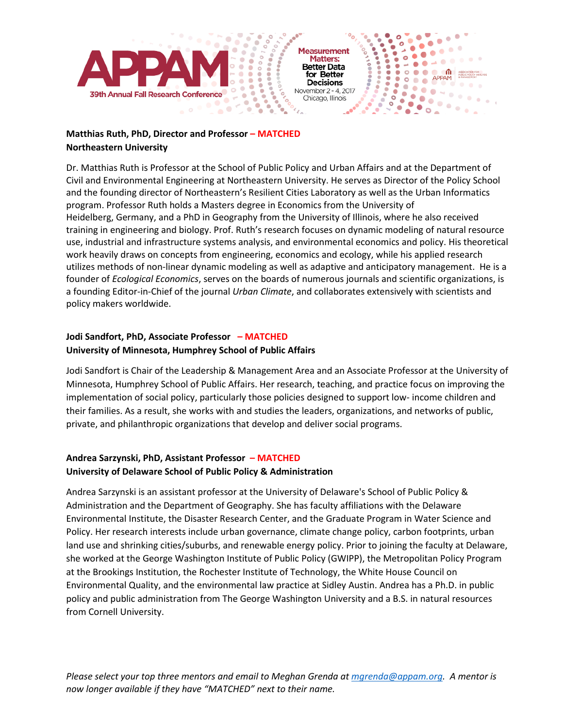

 $\bullet$ 

 $\ddot{\phantom{0}}$ 

 $\circ$ 

°.  $\circ$ 

 $\bullet$ 

٠

۰

 $\bullet$ 

۰

**Proposition**   $\ddot{\cdot}$  $\bullet$ 

۰

ASSOCIATION P

 $200 - 00$ 

**See 20** 

 $\circ$   $\overline{\bullet}$ 

۰

 $\blacksquare$ 

APPAM

 $\bullet$ 

#### **Matthias Ruth, PhD, Director and Professor – MATCHED Northeastern University**

Dr. Matthias Ruth is Professor at the School of Public Policy and Urban Affairs and at the Department of Civil and Environmental Engineering at Northeastern University. He serves as Director of the Policy School and the founding director of Northeastern's Resilient Cities Laboratory as well as the Urban Informatics program. Professor Ruth holds a Masters degree in Economics from the University of Heidelberg, Germany, and a PhD in Geography from the University of Illinois, where he also received training in engineering and biology. Prof. Ruth's research focuses on dynamic modeling of natural resource use, industrial and infrastructure systems analysis, and environmental economics and policy. His theoretical work heavily draws on concepts from engineering, economics and ecology, while his applied research utilizes methods of non-linear dynamic modeling as well as adaptive and anticipatory management. He is a founder of *Ecological Economics*, serves on the boards of numerous journals and scientific organizations, is a founding Editor-in-Chief of the journal *Urban Climate*, and collaborates extensively with scientists and policy makers worldwide.

#### **Jodi Sandfort, PhD, Associate Professor – MATCHED University of Minnesota, Humphrey School of Public Affairs**

Jodi Sandfort is Chair of the Leadership & Management Area and an Associate Professor at the University of Minnesota, Humphrey School of Public Affairs. Her research, teaching, and practice focus on improving the implementation of social policy, particularly those policies designed to support low- income children and their families. As a result, she works with and studies the leaders, organizations, and networks of public, private, and philanthropic organizations that develop and deliver social programs.

#### **Andrea Sarzynski, PhD, Assistant Professor – MATCHED University of Delaware School of Public Policy & Administration**

Andrea Sarzynski is an assistant professor at the University of Delaware's School of Public Policy & Administration and the Department of Geography. She has faculty affiliations with the Delaware Environmental Institute, the Disaster Research Center, and the Graduate Program in Water Science and Policy. Her research interests include urban governance, climate change policy, carbon footprints, urban land use and shrinking cities/suburbs, and renewable energy policy. Prior to joining the faculty at Delaware, she worked at the George Washington Institute of Public Policy (GWIPP), the Metropolitan Policy Program at the Brookings Institution, the Rochester Institute of Technology, the White House Council on Environmental Quality, and the environmental law practice at Sidley Austin. Andrea has a Ph.D. in public policy and public administration from The George Washington University and a B.S. in natural resources from Cornell University.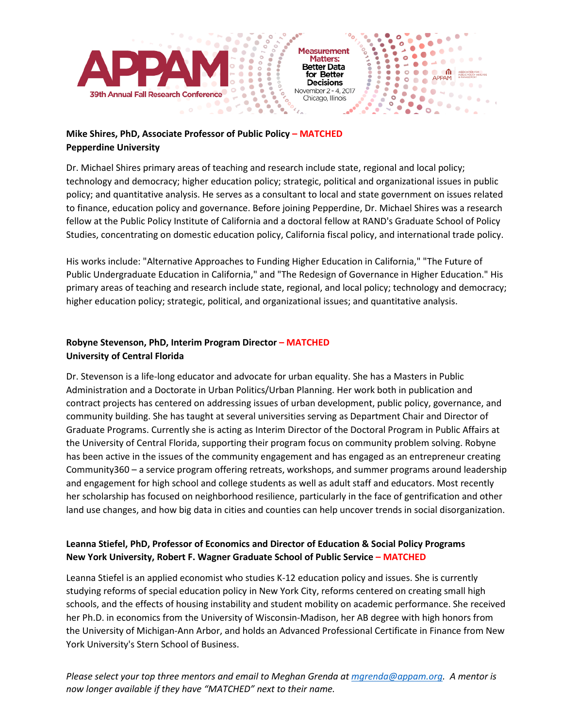

Chicago, Illinois

 $\bullet$ 

 $\ddot{\phantom{0}}$  $\bullet$ 

 $\bullet$ 

9ŏ

 $\bullet$ 

۰

**Processing**   $\ddot{\cdot}$  $\bullet$ 

۰

ASSOCIATION F<br>PUBLIC POUCY<br>& MANAZIPMEN

 $12.70 - 0.0$ 

APPAM

**Septim** 

 $\blacksquare$ 

٠

 $\bullet$ 

#### **Mike Shires, PhD, Associate Professor of Public Policy – MATCHED Pepperdine University**

۰

Dr. Michael Shires primary areas of teaching and research include state, regional and local policy; technology and democracy; higher education policy; strategic, political and organizational issues in public policy; and quantitative analysis. He serves as a consultant to local and state government on issues related to finance, education policy and governance. Before joining Pepperdine, Dr. Michael Shires was a research fellow at the Public Policy Institute of California and a doctoral fellow at RAND's Graduate School of Policy Studies, concentrating on domestic education policy, California fiscal policy, and international trade policy.

His works include: "Alternative Approaches to Funding Higher Education in California," "The Future of Public Undergraduate Education in California," and "The Redesign of Governance in Higher Education." His primary areas of teaching and research include state, regional, and local policy; technology and democracy; higher education policy; strategic, political, and organizational issues; and quantitative analysis.

#### **Robyne Stevenson, PhD, Interim Program Director – MATCHED University of Central Florida**

Dr. Stevenson is a life-long educator and advocate for urban equality. She has a Masters in Public Administration and a Doctorate in Urban Politics/Urban Planning. Her work both in publication and contract projects has centered on addressing issues of urban development, public policy, governance, and community building. She has taught at several universities serving as Department Chair and Director of Graduate Programs. Currently she is acting as Interim Director of the Doctoral Program in Public Affairs at the University of Central Florida, supporting their program focus on community problem solving. Robyne has been active in the issues of the community engagement and has engaged as an entrepreneur creating Community360 – a service program offering retreats, workshops, and summer programs around leadership and engagement for high school and college students as well as adult staff and educators. Most recently her scholarship has focused on neighborhood resilience, particularly in the face of gentrification and other land use changes, and how big data in cities and counties can help uncover trends in social disorganization.

#### **Leanna Stiefel, PhD, Professor of Economics and Director of Education & Social Policy Programs New York University, Robert F. Wagner Graduate School of Public Service – MATCHED**

Leanna Stiefel is an applied economist who studies K-12 education policy and issues. She is currently studying reforms of special education policy in New York City, reforms centered on creating small high schools, and the effects of housing instability and student mobility on academic performance. She received her Ph.D. in economics from the University of Wisconsin-Madison, her AB degree with high honors from the University of Michigan-Ann Arbor, and holds an Advanced Professional Certificate in Finance from New York University's Stern School of Business.